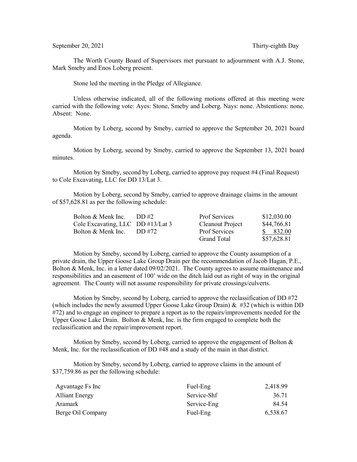The Worth County Board of Supervisors met pursuant to adjournment with A.J. Stone, Mark Smeby and Enos Loberg present.

Stone led the meeting in the Pledge of Allegiance.

Unless otherwise indicated, all of the following motions offered at this meeting were carried with the following vote: Ayes: Stone, Smeby and Loberg. Nays: none. Abstentions: none. Absent: None.

Motion by Loberg, second by Smeby, carried to approve the September 20, 2021 board agenda.

Motion by Loberg, second by Smeby, carried to approve the September 13, 2021 board minutes.

Motion by Smeby, second by Loberg, carried to approve pay request #4 (Final Request) to Cole Excavating, LLC for DD 13/Lat 3.

Motion by Loberg, second by Smeby, carried to approve drainage claims in the amount of \$57,628.81 as per the following schedule:

| Bolton & Menk Inc.                | DD#2   | <b>Prof Services</b> | \$12,030.00 |
|-----------------------------------|--------|----------------------|-------------|
| Cole Excavating, LLC DD #13/Lat 3 |        | Cleanout Project     | \$44,766.81 |
| Bolton & Menk Inc.                | DD #72 | <b>Prof Services</b> | \$ 832.00   |
|                                   |        | Grand Total          | \$57,628.81 |

Motion by Smeby, second by Loberg, carried to approve the County assumption of a private drain, the Upper Goose Lake Group Drain per the recommendation of Jacob Hagan, P.E., Bolton & Menk, Inc. in a letter dated 09/02/2021. The County agrees to assume maintenance and responsibilities and an easement of 100' wide on the ditch laid out as right of way in the original agreement. The County will not assume responsibility for private crossings/culverts.

Motion by Smeby, second by Loberg, carried to approve the reclassification of DD #72 (which includes the newly assumed Upper Goose Lake Group Drain)  $\&$  #32 (which is within DD #72) and to engage an engineer to prepare a report as to the repairs/improvements needed for the Upper Goose Lake Drain. Bolton & Menk, Inc. is the firm engaged to complete both the reclassification and the repair/improvement report.

Motion by Smeby, second by Loberg, carried to approve the engagement of Bolton  $\&$ Menk, Inc. for the reclassification of DD #48 and a study of the main in that district.

Motion by Smeby, second by Loberg, carried to approve claims in the amount of \$37,759.86 as per the following schedule:

| Agvantage Fs Inc      | Fuel-Eng    | 2,418.99 |
|-----------------------|-------------|----------|
| <b>Alliant Energy</b> | Service-Shf | 36.71    |
| Aramark               | Service-Eng | 84.54    |
| Berge Oil Company     | Fuel-Eng    | 6,538.67 |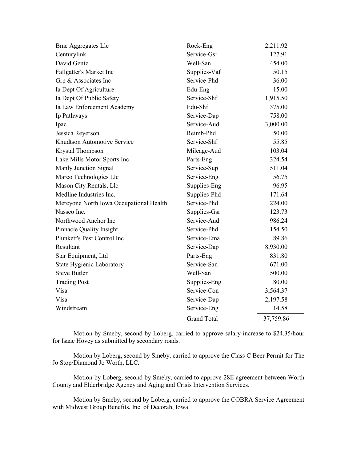| <b>Bmc Aggregates Llc</b>               | Rock-Eng           | 2,211.92  |
|-----------------------------------------|--------------------|-----------|
| Centurylink                             | Service-Gsr        | 127.91    |
| David Gentz                             | Well-San           | 454.00    |
| Fallgatter's Market Inc                 | Supplies-Vaf       | 50.15     |
| Grp & Associates Inc                    | Service-Phd        | 36.00     |
| Ia Dept Of Agriculture                  | Edu-Eng            | 15.00     |
| Ia Dept Of Public Safety                | Service-Shf        | 1,915.50  |
| Ia Law Enforcement Academy              | Edu-Shf            | 375.00    |
| Ip Pathways                             | Service-Dap        | 758.00    |
| Ipac                                    | Service-Aud        | 3,000.00  |
| Jessica Reyerson                        | Reimb-Phd          | 50.00     |
| Knudtson Automotive Service             | Service-Shf        | 55.85     |
| Krystal Thompson                        | Mileage-Aud        | 103.04    |
| Lake Mills Motor Sports Inc             | Parts-Eng          | 324.54    |
| Manly Junction Signal                   | Service-Sup        | 511.04    |
| Marco Technologies Llc                  | Service-Eng        | 56.75     |
| Mason City Rentals, Llc                 | Supplies-Eng       | 96.95     |
| Medline Industries Inc.                 | Supplies-Phd       | 171.64    |
| Mercyone North Iowa Occupational Health | Service-Phd        | 224.00    |
| Nassco Inc.                             | Supplies-Gsr       | 123.73    |
| Northwood Anchor Inc                    | Service-Aud        | 986.24    |
| Pinnacle Quality Insight                | Service-Phd        | 154.50    |
| Plunkett's Pest Control Inc             | Service-Ema        | 89.86     |
| Resultant                               | Service-Dap        | 8,930.00  |
| Star Equipment, Ltd                     | Parts-Eng          | 831.80    |
| <b>State Hygienic Laboratory</b>        | Service-San        | 671.00    |
| <b>Steve Butler</b>                     | Well-San           | 500.00    |
| <b>Trading Post</b>                     | Supplies-Eng       | 80.00     |
| Visa                                    | Service-Con        | 3,564.37  |
| Visa                                    | Service-Dap        | 2,197.58  |
| Windstream                              | Service-Eng        | 14.58     |
|                                         | <b>Grand Total</b> | 37,759.86 |

Motion by Smeby, second by Loberg, carried to approve salary increase to \$24.35/hour for Isaac Hovey as submitted by secondary roads.

Motion by Loberg, second by Smeby, carried to approve the Class C Beer Permit for The Jo Stop/Diamond Jo Worth, LLC.

Motion by Loberg, second by Smeby, carried to approve 28E agreement between Worth County and Elderbridge Agency and Aging and Crisis Intervention Services.

Motion by Smeby, second by Loberg, carried to approve the COBRA Service Agreement with Midwest Group Benefits, Inc. of Decorah, Iowa.